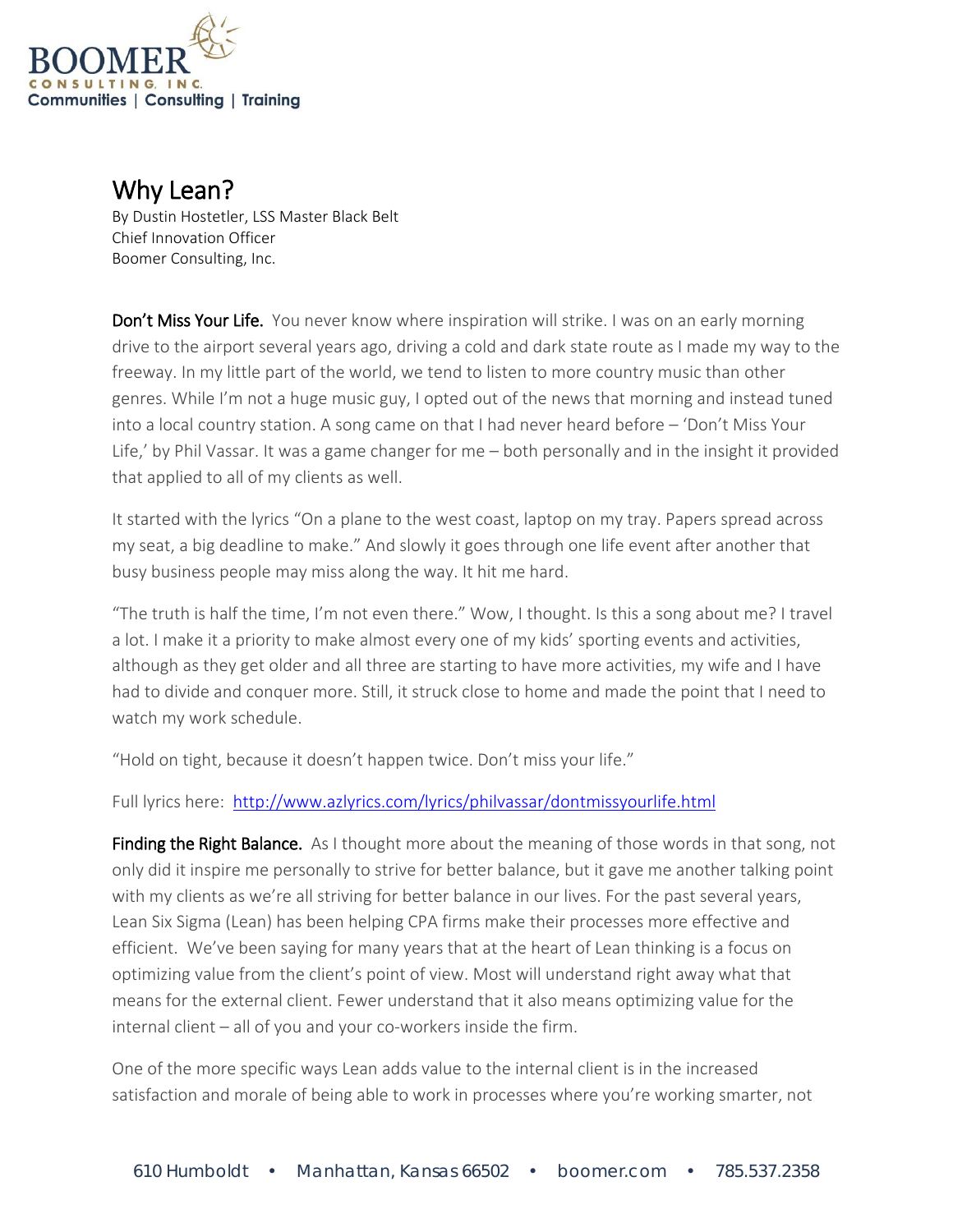

Why Lean?<br>By Dustin Hostetler, LSS Master Black Belt Chief Innovation Officer Boomer Consulting, Inc.

**Don't Miss Your Life.** You never know where inspiration will strike. I was on an early morning drive to the airport several years ago, driving a cold and dark state route as I made my way to the freeway. In my little part of the world, we tend to listen to more country music than other genres. While I'm not a huge music guy, I opted out of the news that morning and instead tuned into a local country station. A song came on that I had never heard before – 'Don't Miss Your Life,' by Phil Vassar. It was a game changer for me – both personally and in the insight it provided that applied to all of my clients as well.

It started with the lyrics "On a plane to the west coast, laptop on my tray. Papers spread across my seat, a big deadline to make." And slowly it goes through one life event after another that busy business people may miss along the way. It hit me hard.

"The truth is half the time, I'm not even there." Wow, I thought. Is this a song about me? I travel a lot. I make it a priority to make almost every one of my kids' sporting events and activities, although as they get older and all three are starting to have more activities, my wife and I have had to divide and conquer more. Still, it struck close to home and made the point that I need to watch my work schedule.

"Hold on tight, because it doesn't happen twice. Don't miss your life."

Full lyrics here: <http://www.azlyrics.com/lyrics/philvassar/dontmissyourlife.html>

**Finding the Right Balance.** As I thought more about the meaning of those words in that song, not only did it inspire me personally to strive for better balance, but it gave me another talking point with my clients as we're all striving for better balance in our lives. For the past several years, Lean Six Sigma (Lean) has been helping CPA firms make their processes more effective and efficient. We've been saying for many years that at the heart of Lean thinking is a focus on optimizing value from the client's point of view. Most will understand right away what that means for the external client. Fewer understand that it also means optimizing value for the internal client – all of you and your co-workers inside the firm.

One of the more specific ways Lean adds value to the internal client is in the increased satisfaction and morale of being able to work in processes where you're working smarter, not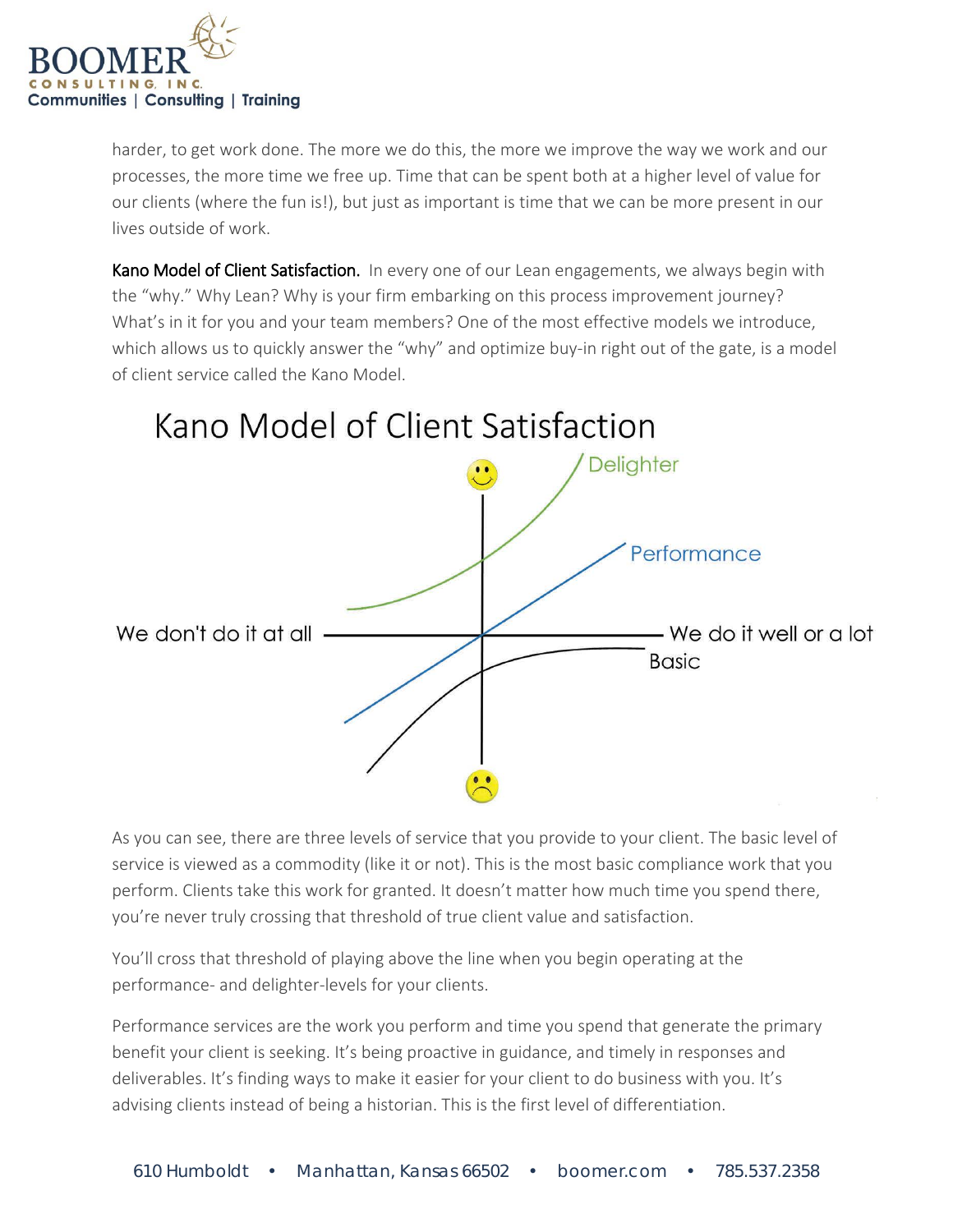

harder, to get work done. The more we do this, the more we improve the way we work and our processes, the more time we free up. Time that can be spent both at a higher level of value for our clients (where the fun is!), but just as important is time that we can be more present in our lives outside of work.

Kano Model of Client Satisfaction. In every one of our Lean engagements, we always begin with the "why." Why Lean? Why is your firm embarking on this process improvement journey? What's in it for you and your team members? One of the most effective models we introduce, which allows us to quickly answer the "why" and optimize buy-in right out of the gate, is a model of client service called the Kano Model.



As you can see, there are three levels of service that you provide to your client. The basic level of service is viewed as a commodity (like it or not). This is the most basic compliance work that you perform. Clients take this work for granted. It doesn't matter how much time you spend there, you're never truly crossing that threshold of true client value and satisfaction.

You'll cross that threshold of playing above the line when you begin operating at the performance- and delighter-levels for your clients.

Performance services are the work you perform and time you spend that generate the primary benefit your client is seeking. It's being proactive in guidance, and timely in responses and deliverables. It's finding ways to make it easier for your client to do business with you. It's advising clients instead of being a historian. This is the first level of differentiation.